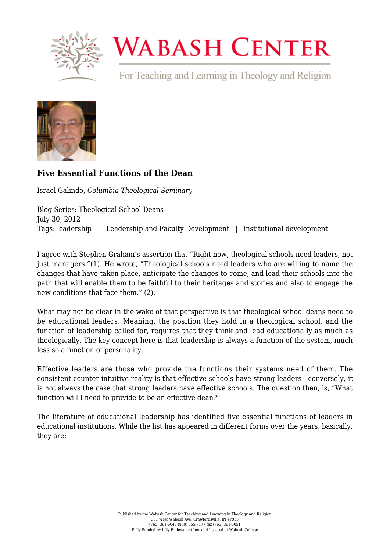

## **WABASH CENTER**

For Teaching and Learning in Theology and Religion



## **[Five Essential Functions of the Dean](https://www.wabashcenter.wabash.edu/2012/07/five-essential-functions-of-the-dean/)**

Israel Galindo, *Columbia Theological Seminary*

Blog Series: Theological School Deans July 30, 2012 Tags: leadership | Leadership and Faculty Development | institutional development

I agree with Stephen Graham's assertion that "Right now, theological schools need leaders, not just managers."(1). He wrote, "Theological schools need leaders who are willing to name the changes that have taken place, anticipate the changes to come, and lead their schools into the path that will enable them to be faithful to their heritages and stories and also to engage the new conditions that face them." (2).

What may not be clear in the wake of that perspective is that theological school deans need to be educational leaders. Meaning, the position they hold in a theological school, and the function of leadership called for, requires that they think and lead educationally as much as theologically. The key concept here is that leadership is always a function of the system, much less so a function of personality.

Effective leaders are those who provide the functions their systems need of them. The consistent counter-intuitive reality is that effective schools have strong leaders—conversely, it is not always the case that strong leaders have effective schools. The question then, is, "What function will I need to provide to be an effective dean?"

The literature of educational leadership has identified five essential functions of leaders in educational institutions. While the list has appeared in different forms over the years, basically, they are: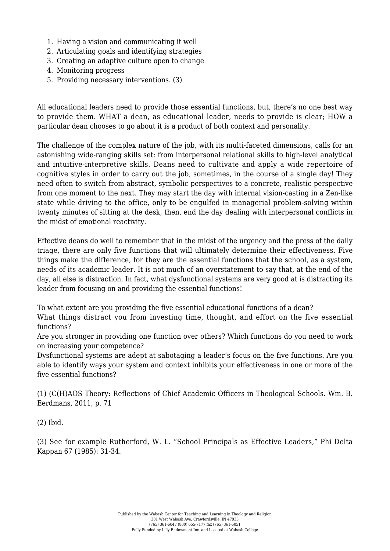- 1. Having a vision and communicating it well
- 2. Articulating goals and identifying strategies
- 3. Creating an adaptive culture open to change
- 4. Monitoring progress
- 5. Providing necessary interventions. (3)

All educational leaders need to provide those essential functions, but, there's no one best way to provide them. WHAT a dean, as educational leader, needs to provide is clear; HOW a particular dean chooses to go about it is a product of both context and personality.

The challenge of the complex nature of the job, with its multi-faceted dimensions, calls for an astonishing wide-ranging skills set: from interpersonal relational skills to high-level analytical and intuitive-interpretive skills. Deans need to cultivate and apply a wide repertoire of cognitive styles in order to carry out the job, sometimes, in the course of a single day! They need often to switch from abstract, symbolic perspectives to a concrete, realistic perspective from one moment to the next. They may start the day with internal vision-casting in a Zen-like state while driving to the office, only to be engulfed in managerial problem-solving within twenty minutes of sitting at the desk, then, end the day dealing with interpersonal conflicts in the midst of emotional reactivity.

Effective deans do well to remember that in the midst of the urgency and the press of the daily triage, there are only five functions that will ultimately determine their effectiveness. Five things make the difference, for they are the essential functions that the school, as a system, needs of its academic leader. It is not much of an overstatement to say that, at the end of the day, all else is distraction. In fact, what dysfunctional systems are very good at is distracting its leader from focusing on and providing the essential functions!

To what extent are you providing the five essential educational functions of a dean?

What things distract you from investing time, thought, and effort on the five essential functions?

Are you stronger in providing one function over others? Which functions do you need to work on increasing your competence?

Dysfunctional systems are adept at sabotaging a leader's focus on the five functions. Are you able to identify ways your system and context inhibits your effectiveness in one or more of the five essential functions?

(1) (C(H)AOS Theory: Reflections of Chief Academic Officers in Theological Schools. Wm. B. Eerdmans, 2011, p. 71

(2) Ibid.

(3) See for example Rutherford, W. L. "School Principals as Effective Leaders," Phi Delta Kappan 67 (1985): 31-34.